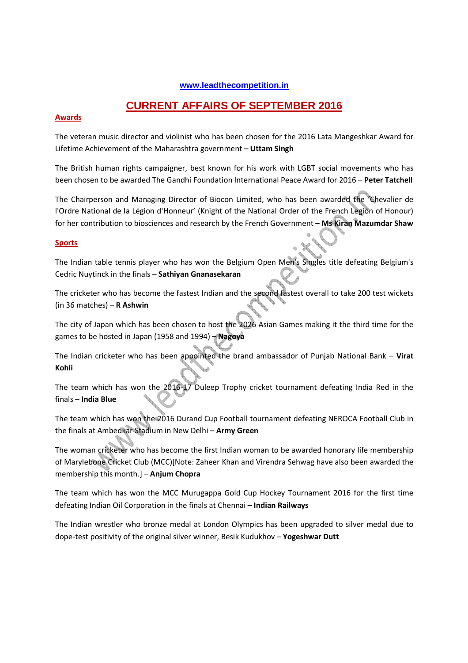### **www.leadthecompetition.in**

# **CURRENT AFFAIRS OF SEPTEMBER 2016**

### **Awards**

The veteran music director and violinist who has been chosen for the 2016 Lata Mangeshkar Award for Lifetime Achievement of the Maharashtra government – **Uttam Singh**

The British human rights campaigner, best known for his work with LGBT social movements who has been chosen to be awarded The Gandhi Foundation International Peace Award for 2016 – **Peter Tatchell** 

The Chairperson and Managing Director of Biocon Limited, who has been awarded the 'Chevalier de l'Ordre National de la Légion d'Honneur' (Knight of the National Order of the French Legion of Honour) for her contribution to biosciences and research by the French Government – **Ms Kiran Mazumdar Shaw**

#### **Sports**

The Indian table tennis player who has won the Belgium Open Men's Singles title defeating Belgium's Cedric Nuytinck in the finals – **Sathiyan Gnanasekaran** 

The cricketer who has become the fastest Indian and the second fastest overall to take 200 test wickets (in 36 matches) – **R Ashwin**

The city of Japan which has been chosen to host the 2026 Asian Games making it the third time for the games to be hosted in Japan (1958 and 1994) – **Nagoya**

The Indian cricketer who has been appointed the brand ambassador of Punjab National Bank – **Virat Kohli** 

The team which has won the 2016-17 Duleep Trophy cricket tournament defeating India Red in the finals – **India Blue**

The team which has won the 2016 Durand Cup Football tournament defeating NEROCA Football Club in the finals at Ambedkar Stadium in New Delhi – **Army Green**

The woman cricketer who has become the first Indian woman to be awarded honorary life membership of Marylebone Cricket Club (MCC)[Note: Zaheer Khan and Virendra Sehwag have also been awarded the membership this month.] – **Anjum Chopra** 

The team which has won the MCC Murugappa Gold Cup Hockey Tournament 2016 for the first time defeating Indian Oil Corporation in the finals at Chennai – **Indian Railways**

The Indian wrestler who bronze medal at London Olympics has been upgraded to silver medal due to dope-test positivity of the original silver winner, Besik Kudukhov – **Yogeshwar Dutt**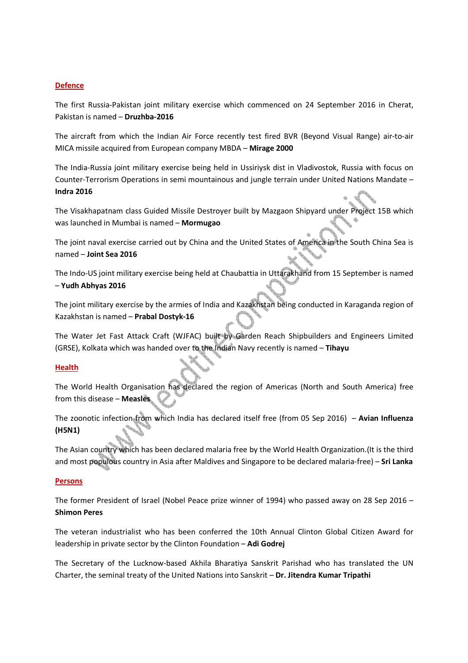### **Defence**

The first Russia-Pakistan joint military exercise which commenced on 24 September 2016 in Cherat, Pakistan is named – **Druzhba-2016**

The aircraft from which the Indian Air Force recently test fired BVR (Beyond Visual Range) air-to-air MICA missile acquired from European company MBDA – **Mirage 2000**

The India-Russia joint military exercise being held in Ussiriysk dist in Vladivostok, Russia with focus on Counter-Terrorism Operations in semi mountainous and jungle terrain under United Nations Mandate – **Indra 2016**

The Visakhapatnam class Guided Missile Destroyer built by Mazgaon Shipyard under Project 15B which was launched in Mumbai is named – **Mormugao**

The joint naval exercise carried out by China and the United States of America in the South China Sea is named – **Joint Sea 2016**

The Indo-US joint military exercise being held at Chaubattia in Uttarakhand from 15 September is named – **Yudh Abhyas 2016**

The joint military exercise by the armies of India and Kazakhstan being conducted in Karaganda region of Kazakhstan is named – **Prabal Dostyk-16**

The Water Jet Fast Attack Craft (WJFAC) built by Garden Reach Shipbuilders and Engineers Limited (GRSE), Kolkata which was handed over to the Indian Navy recently is named – **Tihayu**

### **Health**

The World Health Organisation has declared the region of Americas (North and South America) free from this disease – **Measles** 

The zoonotic infection from which India has declared itself free (from 05 Sep 2016) – **Avian Influenza (H5N1)** 

The Asian country which has been declared malaria free by the World Health Organization.(It is the third and most populous country in Asia after Maldives and Singapore to be declared malaria-free) – **Sri Lanka**

### **Persons**

The former President of Israel (Nobel Peace prize winner of 1994) who passed away on 28 Sep 2016 – **Shimon Peres**

The veteran industrialist who has been conferred the 10th Annual Clinton Global Citizen Award for leadership in private sector by the Clinton Foundation – **Adi Godrej**

The Secretary of the Lucknow-based Akhila Bharatiya Sanskrit Parishad who has translated the UN Charter, the seminal treaty of the United Nations into Sanskrit – **Dr. Jitendra Kumar Tripathi**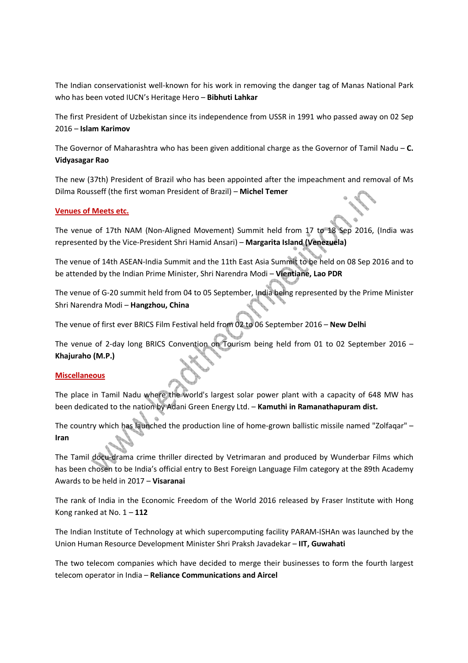The Indian conservationist well-known for his work in removing the danger tag of Manas National Park who has been voted IUCN's Heritage Hero – **Bibhuti Lahkar**

The first President of Uzbekistan since its independence from USSR in 1991 who passed away on 02 Sep 2016 – **Islam Karimov** 

The Governor of Maharashtra who has been given additional charge as the Governor of Tamil Nadu – **C. Vidyasagar Rao**

The new (37th) President of Brazil who has been appointed after the impeachment and removal of Ms Dilma Rousseff (the first woman President of Brazil) – **Michel Temer**

### **Venues of Meets etc.**

The venue of 17th NAM (Non-Aligned Movement) Summit held from 17 to 18 Sep 2016, (India was represented by the Vice-President Shri Hamid Ansari) – **Margarita Island (Venezuela)**

The venue of 14th ASEAN-India Summit and the 11th East Asia Summit to be held on 08 Sep 2016 and to be attended by the Indian Prime Minister, Shri Narendra Modi – **Vientiane, Lao PDR**

The venue of G-20 summit held from 04 to 05 September, India being represented by the Prime Minister Shri Narendra Modi – **Hangzhou, China**

The venue of first ever BRICS Film Festival held from 02 to 06 September 2016 – **New Delhi**

The venue of 2-day long BRICS Convention on Tourism being held from 01 to 02 September 2016 – **Khajuraho (M.P.)**

### **Miscellaneous**

The place in Tamil Nadu where the world's largest solar power plant with a capacity of 648 MW has been dedicated to the nation by Adani Green Energy Ltd. – **Kamuthi in Ramanathapuram dist.**

The country which has launched the production line of home-grown ballistic missile named "Zolfaqar" – **Iran**

The Tamil docu-drama crime thriller directed by Vetrimaran and produced by Wunderbar Films which has been chosen to be India's official entry to Best Foreign Language Film category at the 89th Academy Awards to be held in 2017 – **Visaranai**

The rank of India in the Economic Freedom of the World 2016 released by Fraser Institute with Hong Kong ranked at No. 1 – **112**

The Indian Institute of Technology at which supercomputing facility PARAM-ISHAn was launched by the Union Human Resource Development Minister Shri Praksh Javadekar – **IIT, Guwahati**

The two telecom companies which have decided to merge their businesses to form the fourth largest telecom operator in India – **Reliance Communications and Aircel**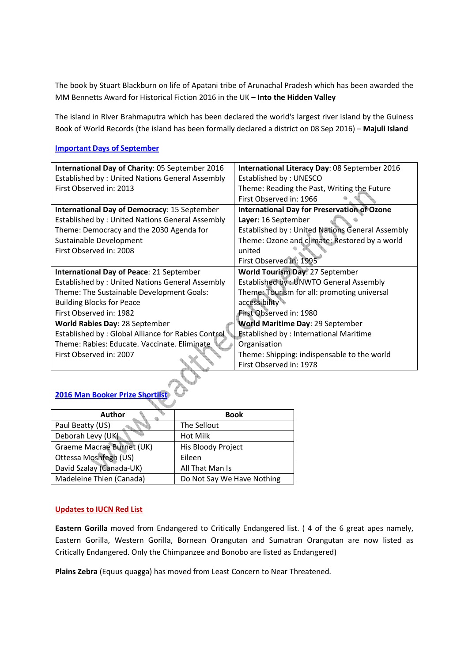The book by Stuart Blackburn on life of Apatani tribe of Arunachal Pradesh which has been awarded the MM Bennetts Award for Historical Fiction 2016 in the UK – **Into the Hidden Valley**

The island in River Brahmaputra which has been declared the world's largest river island by the Guiness Book of World Records (the island has been formally declared a district on 08 Sep 2016) – **Majuli Island**

### **Important Days of September**

| International Day of Charity: 05 September 2016     | International Literacy Day: 08 September 2016          |  |
|-----------------------------------------------------|--------------------------------------------------------|--|
| Established by: United Nations General Assembly     | Established by: UNESCO                                 |  |
| First Observed in: 2013                             | Theme: Reading the Past, Writing the Future            |  |
|                                                     | First Observed in: 1966                                |  |
| <b>International Day of Democracy: 15 September</b> | <b>International Day for Preservation of Ozone</b>     |  |
| Established by: United Nations General Assembly     | Layer: 16 September                                    |  |
| Theme: Democracy and the 2030 Agenda for            | <b>Established by: United Nations General Assembly</b> |  |
| Sustainable Development                             | Theme: Ozone and climate: Restored by a world          |  |
| First Observed in: 2008                             | united                                                 |  |
|                                                     | First Observed in: 1995                                |  |
| <b>International Day of Peace: 21 September</b>     | World Tourism Day: 27 September                        |  |
| Established by: United Nations General Assembly     | Established by: UNWTO General Assembly                 |  |
| Theme: The Sustainable Development Goals:           | Theme: Tourism for all: promoting universal            |  |
| <b>Building Blocks for Peace</b>                    | accessibility                                          |  |
| First Observed in: 1982                             | First Observed in: 1980                                |  |
| World Rabies Day: 28 September                      | World Maritime Day: 29 September                       |  |
| Established by: Global Alliance for Rabies Control  | <b>Established by: International Maritime</b>          |  |
| Theme: Rabies: Educate. Vaccinate. Eliminate.       | Organisation                                           |  |
| First Observed in: 2007                             | Theme: Shipping: indispensable to the world            |  |
|                                                     | First Observed in: 1978                                |  |
|                                                     |                                                        |  |

## **2016 Man Booker Prize Shortlist**

| Author                    | <b>Book</b>                |  |
|---------------------------|----------------------------|--|
| Paul Beatty (US)          | The Sellout                |  |
| Deborah Levy (UK)         | <b>Hot Milk</b>            |  |
| Graeme Macrae Burnet (UK) | His Bloody Project         |  |
| Ottessa Moshfegh (US)     | Eileen                     |  |
| David Szalay (Canada-UK)  | All That Man Is            |  |
| Madeleine Thien (Canada)  | Do Not Say We Have Nothing |  |

### **Updates to IUCN Red List**

**Eastern Gorilla** moved from Endangered to Critically Endangered list. ( 4 of the 6 great apes namely, Eastern Gorilla, Western Gorilla, Bornean Orangutan and Sumatran Orangutan are now listed as Critically Endangered. Only the Chimpanzee and Bonobo are listed as Endangered)

**Plains Zebra** (Equus quagga) has moved from Least Concern to Near Threatened.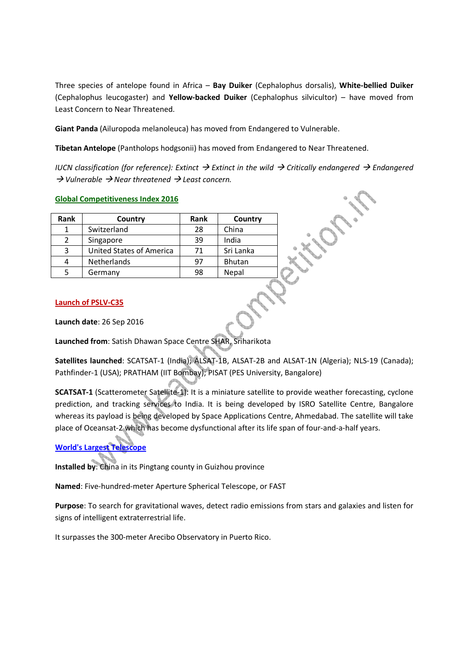Three species of antelope found in Africa – **Bay Duiker** (Cephalophus dorsalis), **White-bellied Duiker** (Cephalophus leucogaster) and **Yellow-backed Duiker** (Cephalophus silvicultor) – have moved from Least Concern to Near Threatened.

**Giant Panda** (Ailuropoda melanoleuca) has moved from Endangered to Vulnerable.

**Tibetan Antelope** (Pantholops hodgsonii) has moved from Endangered to Near Threatened.

*IUCN classification (for reference): Extinct*  $\rightarrow$  *Extinct in the wild*  $\rightarrow$  *Critically endangered*  $\rightarrow$  *Endangered Vulnerable Near threatened Least concern.* 

### **Global Competitiveness Index 2016**

| Rank          | Country                  | <b>Rank</b> | Country       |
|---------------|--------------------------|-------------|---------------|
|               | Switzerland              | 28          | China         |
| $\mathcal{P}$ | Singapore                | 39          | India         |
| 3             | United States of America | 71          | Sri Lanka     |
|               | Netherlands              | 97          | <b>Bhutan</b> |
|               | Germany                  | 98          | Nepal         |

### **Launch of PSLV-C35**

**Launch date**: 26 Sep 2016

**Launched from**: Satish Dhawan Space Centre SHAR, Sriharikota

**Satellites launched**: SCATSAT-1 (India); ALSAT-1B, ALSAT-2B and ALSAT-1N (Algeria); NLS-19 (Canada); Pathfinder-1 (USA); PRATHAM (IIT Bombay); PISAT (PES University, Bangalore)

**SCATSAT-1** (Scatterometer Satellite-1): It is a miniature satellite to provide weather forecasting, cyclone prediction, and tracking services to India. It is being developed by ISRO Satellite Centre, Bangalore whereas its payload is being developed by Space Applications Centre, Ahmedabad. The satellite will take place of Oceansat-2 which has become dysfunctional after its life span of four-and-a-half years.

### **World's Largest Telescope**

**Installed by**: China in its Pingtang county in Guizhou province

**Named**: Five-hundred-meter Aperture Spherical Telescope, or FAST

**Purpose**: To search for gravitational waves, detect radio emissions from stars and galaxies and listen for signs of intelligent extraterrestrial life.

It surpasses the 300-meter Arecibo Observatory in Puerto Rico.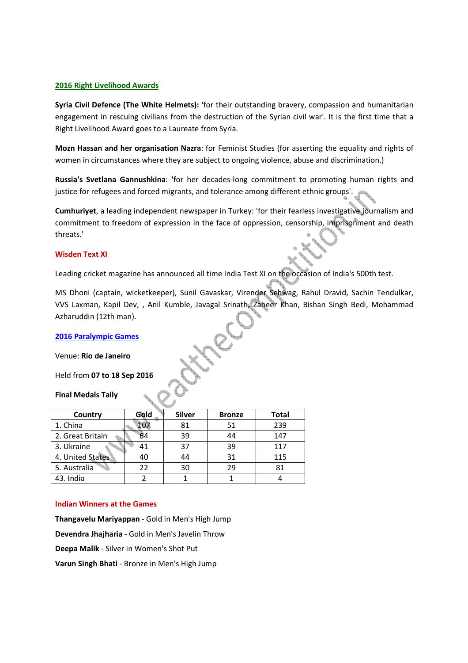#### **2016 Right Livelihood Awards**

**Syria Civil Defence (The White Helmets):** 'for their outstanding bravery, compassion and humanitarian engagement in rescuing civilians from the destruction of the Syrian civil war'. It is the first time that a Right Livelihood Award goes to a Laureate from Syria.

**Mozn Hassan and her organisation Nazra**: for Feminist Studies (for asserting the equality and rights of women in circumstances where they are subject to ongoing violence, abuse and discrimination.)

**Russia's Svetlana Gannushkina**: 'for her decades-long commitment to promoting human rights and justice for refugees and forced migrants, and tolerance among different ethnic groups'.

**Cumhuriyet**, a leading independent newspaper in Turkey: 'for their fearless investigative journalism and commitment to freedom of expression in the face of oppression, censorship, imprisonment and death threats.'

#### **Wisden Text XI**

Leading cricket magazine has announced all time India Test XI on the occasion of India's 500th test.

MS Dhoni (captain, wicketkeeper), Sunil Gavaskar, Virender Sehwag, Rahul Dravid, Sachin Tendulkar, VVS Laxman, Kapil Dev, , Anil Kumble, Javagal Srinath, Zaheer Khan, Bishan Singh Bedi, Mohammad Azharuddin (12th man).

**2016 Paralympic Games**

Venue: **Rio de Janeiro**

Held from **07 to 18 Sep 2016**

#### **Final Medals Tally**

| Country          | Gold | <b>Silver</b> | <b>Bronze</b> | Total |
|------------------|------|---------------|---------------|-------|
| 1. China         | 107  | 81            | 51            | 239   |
| 2. Great Britain | 64   | 39            | 44            | 147   |
| 3. Ukraine       |      | 37            | 39            | 117   |
| 4. United States | 40   | 44            | 31            | 115   |
| 5. Australia     | 22   | 30            | 29            | 81    |
| 43. India        |      |               |               |       |

#### **Indian Winners at the Games**

**Thangavelu Mariyappan** - Gold in Men's High Jump **Devendra Jhajharia** - Gold in Men's Javelin Throw **Deepa Malik** - Silver in Women's Shot Put **Varun Singh Bhati** - Bronze in Men's High Jump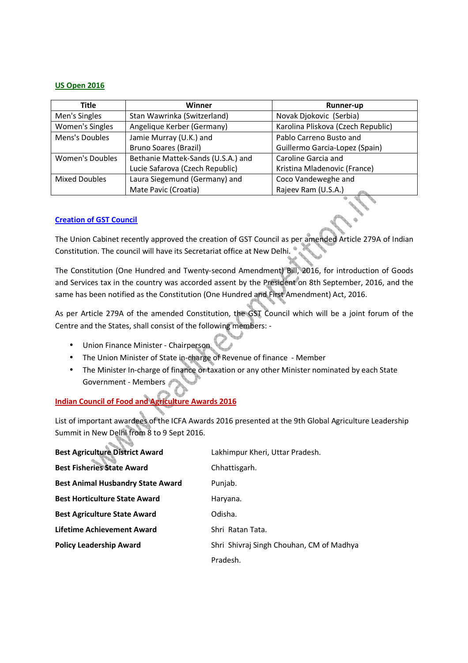### **US Open 2016**

| Title                  | Winner                             | Runner-up                          |
|------------------------|------------------------------------|------------------------------------|
| Men's Singles          | Stan Wawrinka (Switzerland)        | Novak Djokovic (Serbia)            |
| Women's Singles        | Angelique Kerber (Germany)         | Karolina Pliskova (Czech Republic) |
| Mens's Doubles         | Jamie Murray (U.K.) and            | Pablo Carreno Busto and            |
|                        | <b>Bruno Soares (Brazil)</b>       | Guillermo Garcia-Lopez (Spain)     |
| <b>Women's Doubles</b> | Bethanie Mattek-Sands (U.S.A.) and | Caroline Garcia and                |
|                        | Lucie Safarova (Czech Republic)    | Kristina Mladenovic (France)       |
| <b>Mixed Doubles</b>   | Laura Siegemund (Germany) and      | Coco Vandeweghe and                |
|                        | Mate Pavic (Croatia)               | Rajeev Ram (U.S.A.)                |

### **Creation of GST Council**

The Union Cabinet recently approved the creation of GST Council as per amended Article 279A of Indian Constitution. The council will have its Secretariat office at New Delhi.

The Constitution (One Hundred and Twenty-second Amendment) Bill, 2016, for introduction of Goods and Services tax in the country was accorded assent by the President on 8th September, 2016, and the same has been notified as the Constitution (One Hundred and First Amendment) Act, 2016.

As per Article 279A of the amended Constitution, the GST Council which will be a joint forum of the Centre and the States, shall consist of the following members: -

- Union Finance Minister Chairperson
- The Union Minister of State in-charge of Revenue of finance Member
- The Minister In-charge of finance or taxation or any other Minister nominated by each State Government - Members

### **Indian Council of Food and Agriculture Awards 2016**

 $\Delta \omega$ 

List of important awardees of the ICFA Awards 2016 presented at the 9th Global Agriculture Leadership Summit in New Delhi from 8 to 9 Sept 2016.

| <b>Best Agriculture District Award</b>   | Lakhimpur Kheri, Uttar Pradesh.          |  |
|------------------------------------------|------------------------------------------|--|
| <b>Best Fisheries State Award</b>        | Chhattisgarh.                            |  |
| <b>Best Animal Husbandry State Award</b> | Punjab.                                  |  |
| <b>Best Horticulture State Award</b>     | Haryana.                                 |  |
| <b>Best Agriculture State Award</b>      | Odisha.                                  |  |
| <b>Lifetime Achievement Award</b>        | Shri Ratan Tata.                         |  |
| <b>Policy Leadership Award</b>           | Shri Shivraj Singh Chouhan, CM of Madhya |  |
|                                          | Pradesh.                                 |  |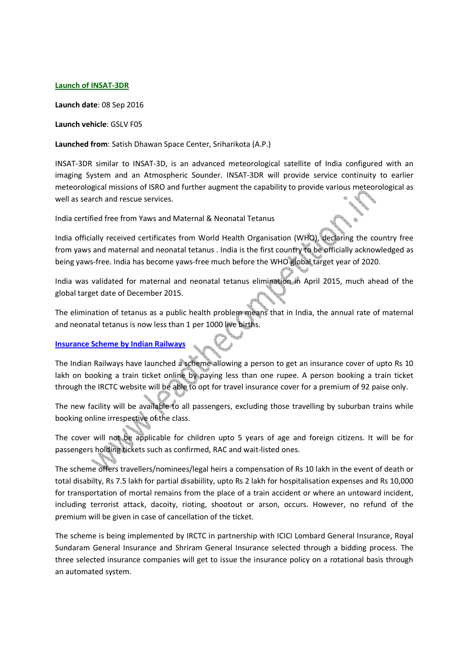#### **Launch of INSAT-3DR**

**Launch date**: 08 Sep 2016

**Launch vehicle**: GSLV F05

**Launched from**: Satish Dhawan Space Center, Sriharikota (A.P.)

INSAT-3DR similar to INSAT-3D, is an advanced meteorological satellite of India configured with an imaging System and an Atmospheric Sounder. INSAT-3DR will provide service continuity to earlier meteorological missions of ISRO and further augment the capability to provide various meteorological as well as search and rescue services.

India certified free from Yaws and Maternal & Neonatal Tetanus

India officially received certificates from World Health Organisation (WHO), declaring the country free from yaws and maternal and neonatal tetanus . India is the first country to be officially acknowledged as being yaws-free. India has become yaws-free much before the WHO global target year of 2020.

India was validated for maternal and neonatal tetanus elimination in April 2015, much ahead of the global target date of December 2015.

The elimination of tetanus as a public health problem means that in India, the annual rate of maternal and neonatal tetanus is now less than 1 per 1000 live births.

### **Insurance Scheme by Indian Railways**

The Indian Railways have launched a scheme allowing a person to get an insurance cover of upto Rs 10 lakh on booking a train ticket online by paying less than one rupee. A person booking a train ticket through the IRCTC website will be able to opt for travel insurance cover for a premium of 92 paise only.

The new facility will be available to all passengers, excluding those travelling by suburban trains while booking online irrespective of the class.

The cover will not be applicable for children upto 5 years of age and foreign citizens. It will be for passengers holding tickets such as confirmed, RAC and wait-listed ones.

The scheme offers travellers/nominees/legal heirs a compensation of Rs 10 lakh in the event of death or total disabilty, Rs 7.5 lakh for partial disabiility, upto Rs 2 lakh for hospitalisation expenses and Rs 10,000 for transportation of mortal remains from the place of a train accident or where an untoward incident, including terrorist attack, dacoity, rioting, shootout or arson, occurs. However, no refund of the premium will be given in case of cancellation of the ticket.

The scheme is being implemented by IRCTC in partnership with ICICI Lombard General Insurance, Royal Sundaram General Insurance and Shriram General Insurance selected through a bidding process. The three selected insurance companies will get to issue the insurance policy on a rotational basis through an automated system.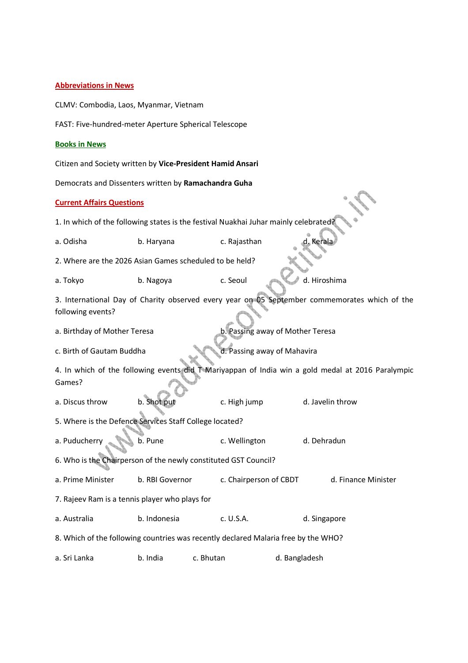#### **Abbreviations in News**

CLMV: Combodia, Laos, Myanmar, Vietnam

FAST: Five-hundred-meter Aperture Spherical Telescope

#### **Books in News**

Citizen and Society written by **Vice-President Hamid Ansari**

Democrats and Dissenters written by **Ramachandra Guha** 

### **Current Affairs Questions**

1. In which of the following states is the festival Nuakhai Juhar mainly celebrated?

| a. Odisha | b. Haryana | c. Rajasthan | d. Kerala |
|-----------|------------|--------------|-----------|
|           |            |              |           |

2. Where are the 2026 Asian Games scheduled to be held?

a. Tokyo b. Nagoya c. Seoul d. Hiroshima

3. International Day of Charity observed every year on 05 September commemorates which of the following events?

a. Birthday of Mother Teresa b. Passing away of Mother Teresa

c. Birth of Gautam Buddha d. Passing away of Mahavira

4. In which of the following events did T Mariyappan of India win a gold medal at 2016 Paralympic Games?

a. Discus throw b. Shot put c. High jump d. Javelin throw

5. Where is the Defence Services Staff College located?

a. Puducherry b. Pune c. Wellington d. Dehradun

6. Who is the Chairperson of the newly constituted GST Council?

a. Prime Minister b. RBI Governor c. Chairperson of CBDT d. Finance Minister

7. Rajeev Ram is a tennis player who plays for

a. Australia b. Indonesia c. U.S.A. d. Singapore

8. Which of the following countries was recently declared Malaria free by the WHO?

a. Sri Lanka b. India c. Bhutan d. Bangladesh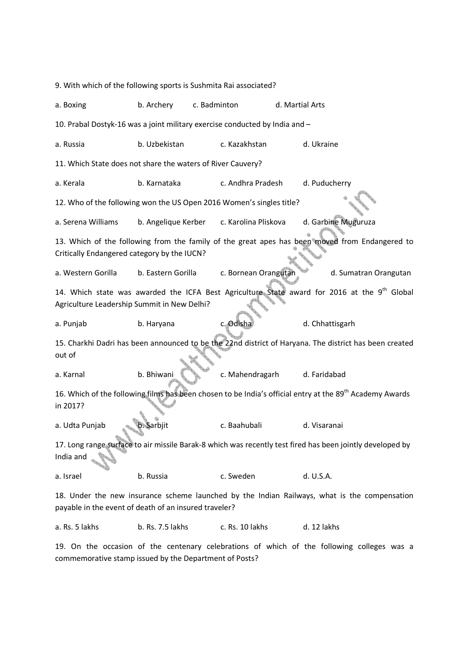9. With which of the following sports is Sushmita Rai associated? a. Boxing b. Archery c. Badminton d. Martial Arts 10. Prabal Dostyk-16 was a joint military exercise conducted by India and – a. Russia b. Uzbekistan c. Kazakhstan d. Ukraine 11. Which State does not share the waters of River Cauvery? a. Kerala b. Karnataka c. Andhra Pradesh d. Puducherry 12. Who of the following won the US Open 2016 Women's singles title? a. Serena Williams b. Angelique Kerber c. Karolina Pliskova d. Garbine Muguruza 13. Which of the following from the family of the great apes has been moved from Endangered to Critically Endangered category by the IUCN? a. Western Gorilla b. Eastern Gorilla c. Bornean Orangutan d. Sumatran Orangutan 14. Which state was awarded the ICFA Best Agriculture State award for 2016 at the 9<sup>th</sup> Global Agriculture Leadership Summit in New Delhi? a. Punjab b. Haryana c. Odisha d. Chhattisgarh 15. Charkhi Dadri has been announced to be the 22nd district of Haryana. The district has been created out of a. Karnal b. Bhiwani c. Mahendragarh d. Faridabad 16. Which of the following films has been chosen to be India's official entry at the 89<sup>th</sup> Academy Awards in 2017? a. Udta Punjab b. Sarbjit c. Baahubali d. Visaranai 17. Long range surface to air missile Barak-8 which was recently test fired has been jointly developed by India and a. Israel b. Russia c. Sweden d. U.S.A. 18. Under the new insurance scheme launched by the Indian Railways, what is the compensation payable in the event of death of an insured traveler? a. Rs. 5 lakhs b. Rs. 7.5 lakhs c. Rs. 10 lakhs d. 12 lakhs

19. On the occasion of the centenary celebrations of which of the following colleges was a commemorative stamp issued by the Department of Posts?